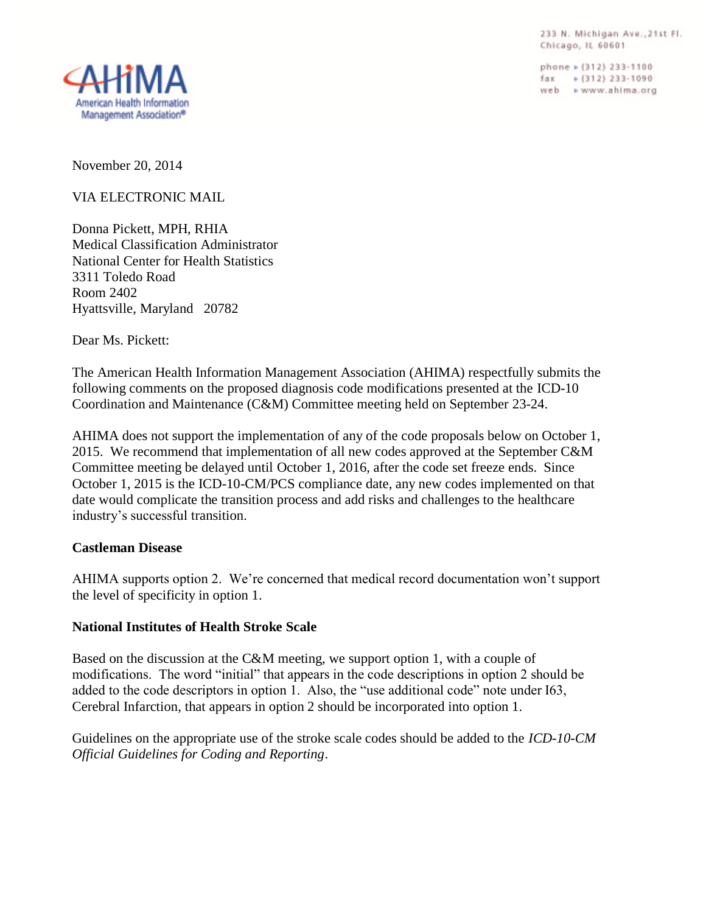233 N. Michigan Ave., 21st Fl. Chicago, IL 60601

phone » (312) 233-1100  $\frac{1}{2}$  Tax  $\rightarrow$  (312) 233-1090 web > www.ahima.org



November 20, 2014

VIA ELECTRONIC MAIL

Donna Pickett, MPH, RHIA Medical Classification Administrator National Center for Health Statistics 3311 Toledo Road Room 2402 Hyattsville, Maryland 20782

Dear Ms. Pickett:

The American Health Information Management Association (AHIMA) respectfully submits the following comments on the proposed diagnosis code modifications presented at the ICD-10 Coordination and Maintenance (C&M) Committee meeting held on September 23-24.

AHIMA does not support the implementation of any of the code proposals below on October 1, 2015. We recommend that implementation of all new codes approved at the September C&M Committee meeting be delayed until October 1, 2016, after the code set freeze ends. Since October 1, 2015 is the ICD-10-CM/PCS compliance date, any new codes implemented on that date would complicate the transition process and add risks and challenges to the healthcare industry's successful transition.

# **Castleman Disease**

AHIMA supports option 2. We're concerned that medical record documentation won't support the level of specificity in option 1.

# **National Institutes of Health Stroke Scale**

Based on the discussion at the C&M meeting, we support option 1, with a couple of modifications. The word "initial" that appears in the code descriptions in option 2 should be added to the code descriptors in option 1. Also, the "use additional code" note under I63, Cerebral Infarction, that appears in option 2 should be incorporated into option 1.

Guidelines on the appropriate use of the stroke scale codes should be added to the *ICD-10-CM Official Guidelines for Coding and Reporting*.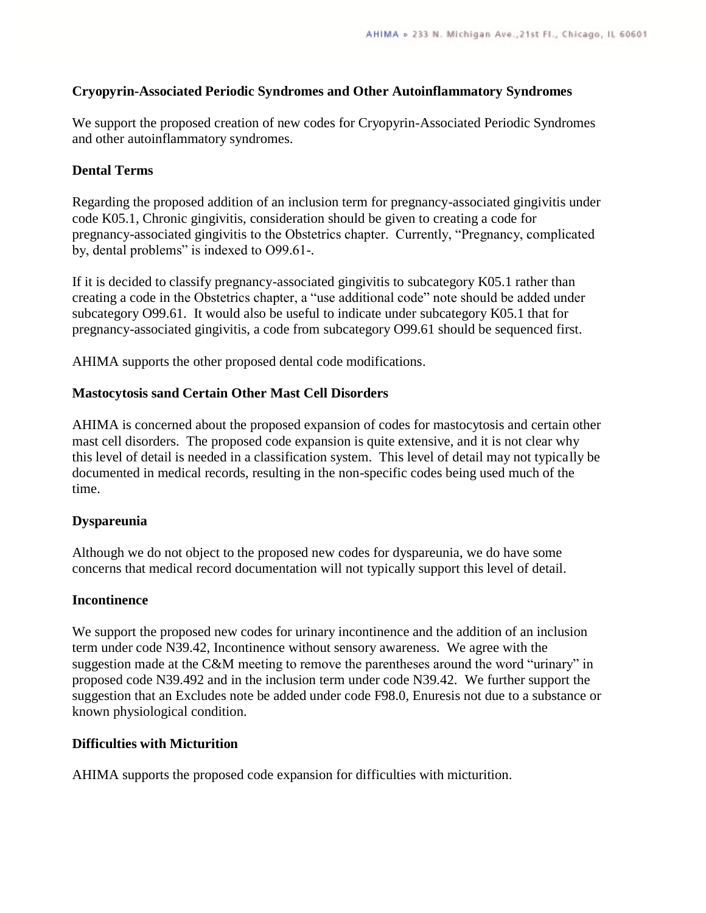#### **Cryopyrin-Associated Periodic Syndromes and Other Autoinflammatory Syndromes**

We support the proposed creation of new codes for Cryopyrin-Associated Periodic Syndromes and other autoinflammatory syndromes.

#### **Dental Terms**

Regarding the proposed addition of an inclusion term for pregnancy-associated gingivitis under code K05.1, Chronic gingivitis, consideration should be given to creating a code for pregnancy-associated gingivitis to the Obstetrics chapter. Currently, "Pregnancy, complicated by, dental problems" is indexed to O99.61-.

If it is decided to classify pregnancy-associated gingivitis to subcategory K05.1 rather than creating a code in the Obstetrics chapter, a "use additional code" note should be added under subcategory O99.61. It would also be useful to indicate under subcategory K05.1 that for pregnancy-associated gingivitis, a code from subcategory O99.61 should be sequenced first.

AHIMA supports the other proposed dental code modifications.

#### **Mastocytosis sand Certain Other Mast Cell Disorders**

AHIMA is concerned about the proposed expansion of codes for mastocytosis and certain other mast cell disorders. The proposed code expansion is quite extensive, and it is not clear why this level of detail is needed in a classification system. This level of detail may not typically be documented in medical records, resulting in the non-specific codes being used much of the time.

#### **Dyspareunia**

Although we do not object to the proposed new codes for dyspareunia, we do have some concerns that medical record documentation will not typically support this level of detail.

#### **Incontinence**

We support the proposed new codes for urinary incontinence and the addition of an inclusion term under code N39.42, Incontinence without sensory awareness. We agree with the suggestion made at the C&M meeting to remove the parentheses around the word "urinary" in proposed code N39.492 and in the inclusion term under code N39.42. We further support the suggestion that an Excludes note be added under code F98.0, Enuresis not due to a substance or known physiological condition.

#### **Difficulties with Micturition**

AHIMA supports the proposed code expansion for difficulties with micturition.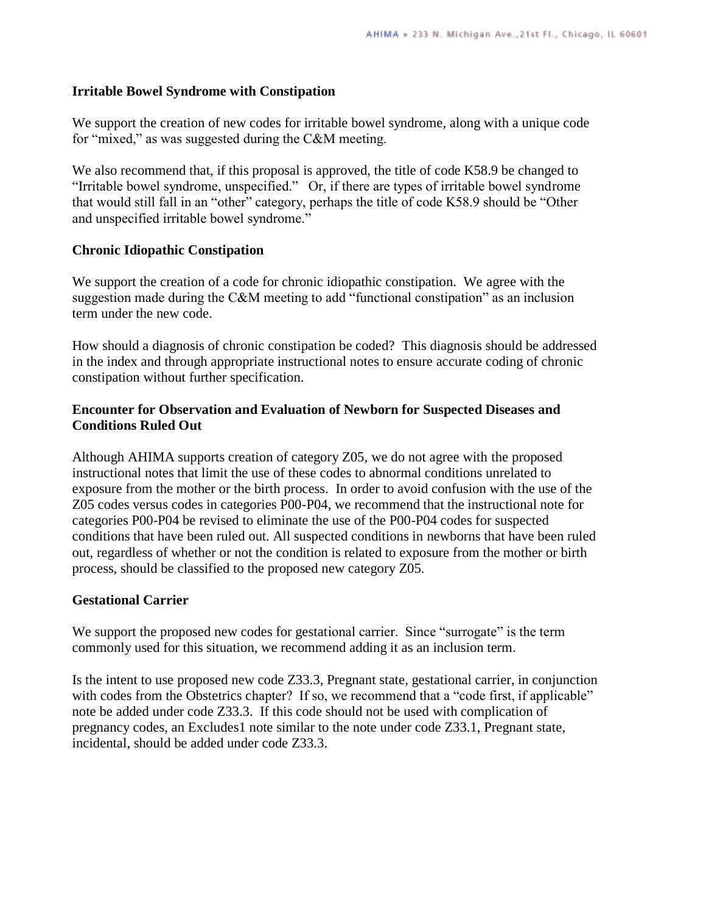#### **Irritable Bowel Syndrome with Constipation**

We support the creation of new codes for irritable bowel syndrome, along with a unique code for "mixed," as was suggested during the C&M meeting.

We also recommend that, if this proposal is approved, the title of code K58.9 be changed to "Irritable bowel syndrome, unspecified." Or, if there are types of irritable bowel syndrome that would still fall in an "other" category, perhaps the title of code K58.9 should be "Other and unspecified irritable bowel syndrome."

# **Chronic Idiopathic Constipation**

We support the creation of a code for chronic idiopathic constipation. We agree with the suggestion made during the C&M meeting to add "functional constipation" as an inclusion term under the new code.

How should a diagnosis of chronic constipation be coded? This diagnosis should be addressed in the index and through appropriate instructional notes to ensure accurate coding of chronic constipation without further specification.

# **Encounter for Observation and Evaluation of Newborn for Suspected Diseases and Conditions Ruled Out**

Although AHIMA supports creation of category Z05, we do not agree with the proposed instructional notes that limit the use of these codes to abnormal conditions unrelated to exposure from the mother or the birth process. In order to avoid confusion with the use of the Z05 codes versus codes in categories P00-P04, we recommend that the instructional note for categories P00-P04 be revised to eliminate the use of the P00-P04 codes for suspected conditions that have been ruled out. All suspected conditions in newborns that have been ruled out, regardless of whether or not the condition is related to exposure from the mother or birth process, should be classified to the proposed new category Z05.

# **Gestational Carrier**

We support the proposed new codes for gestational carrier. Since "surrogate" is the term commonly used for this situation, we recommend adding it as an inclusion term.

Is the intent to use proposed new code Z33.3, Pregnant state, gestational carrier, in conjunction with codes from the Obstetrics chapter? If so, we recommend that a "code first, if applicable" note be added under code Z33.3. If this code should not be used with complication of pregnancy codes, an Excludes1 note similar to the note under code Z33.1, Pregnant state, incidental, should be added under code Z33.3.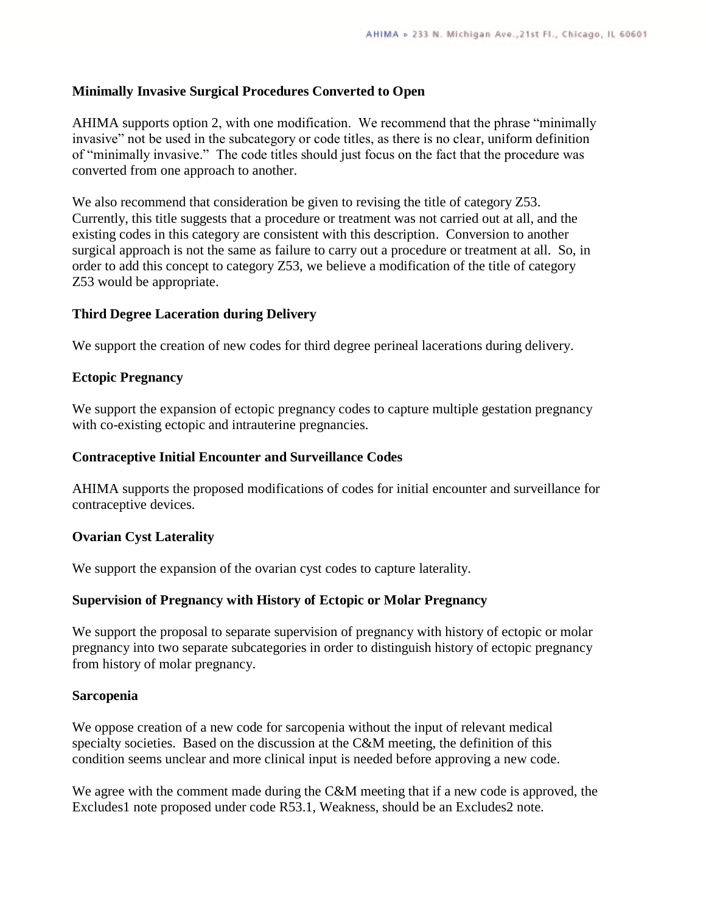# **Minimally Invasive Surgical Procedures Converted to Open**

AHIMA supports option 2, with one modification. We recommend that the phrase "minimally invasive" not be used in the subcategory or code titles, as there is no clear, uniform definition of "minimally invasive." The code titles should just focus on the fact that the procedure was converted from one approach to another.

We also recommend that consideration be given to revising the title of category Z53. Currently, this title suggests that a procedure or treatment was not carried out at all, and the existing codes in this category are consistent with this description. Conversion to another surgical approach is not the same as failure to carry out a procedure or treatment at all. So, in order to add this concept to category Z53, we believe a modification of the title of category Z53 would be appropriate.

# **Third Degree Laceration during Delivery**

We support the creation of new codes for third degree perineal lacerations during delivery.

# **Ectopic Pregnancy**

We support the expansion of ectopic pregnancy codes to capture multiple gestation pregnancy with co-existing ectopic and intrauterine pregnancies.

#### **Contraceptive Initial Encounter and Surveillance Codes**

AHIMA supports the proposed modifications of codes for initial encounter and surveillance for contraceptive devices.

# **Ovarian Cyst Laterality**

We support the expansion of the ovarian cyst codes to capture laterality.

# **Supervision of Pregnancy with History of Ectopic or Molar Pregnancy**

We support the proposal to separate supervision of pregnancy with history of ectopic or molar pregnancy into two separate subcategories in order to distinguish history of ectopic pregnancy from history of molar pregnancy.

#### **Sarcopenia**

We oppose creation of a new code for sarcopenia without the input of relevant medical specialty societies. Based on the discussion at the C&M meeting, the definition of this condition seems unclear and more clinical input is needed before approving a new code.

We agree with the comment made during the C&M meeting that if a new code is approved, the Excludes1 note proposed under code R53.1, Weakness, should be an Excludes2 note.